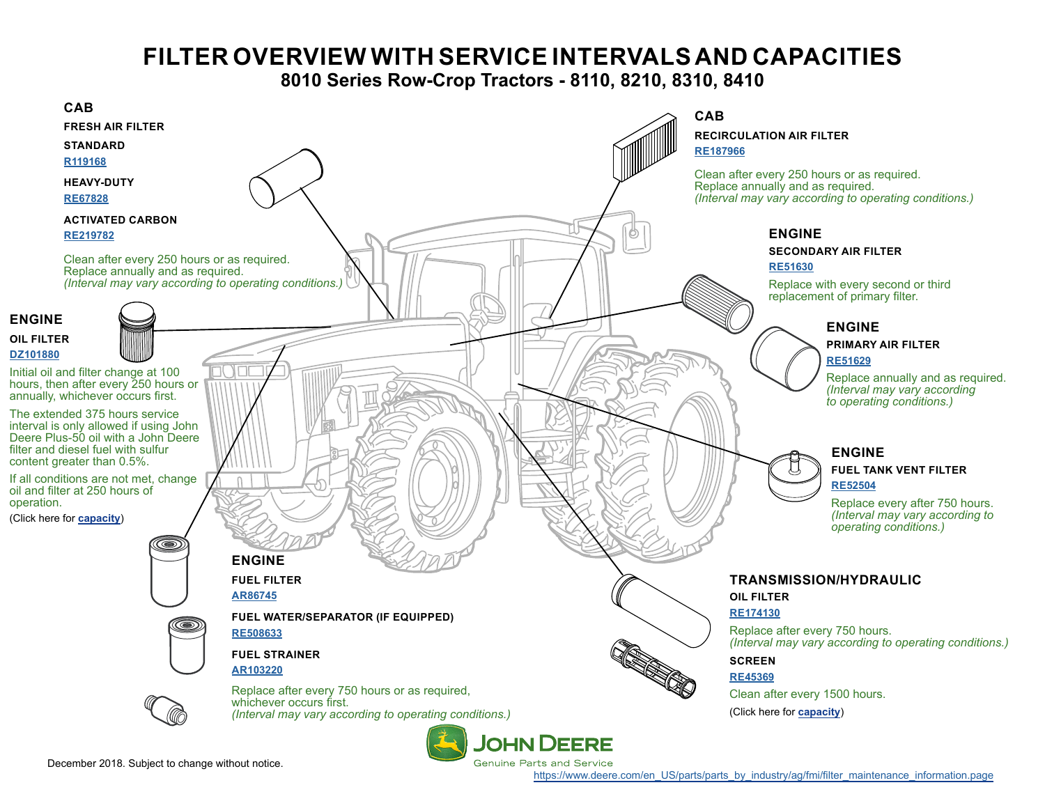## **FILTER OVERVIEW WITH SERVICE INTERVALS AND CAPACITIES**

## **8010 Series Row-Crop Tractors - 8110, 8210, 8310, 8410**

<span id="page-0-0"></span>

December 2018. Subject to change without notice.

[https://www.deere.com/en\\_US/parts/parts\\_by\\_industry/ag/fmi/filter\\_maintenance\\_information.page](https://www.deere.com/en_US/parts/parts_by_industry/ag/fmi/filter_maintenance_information.page)